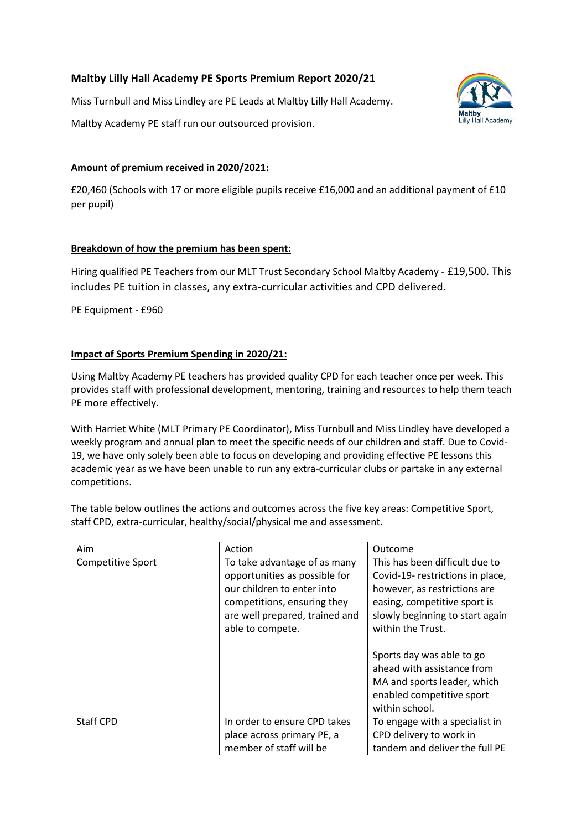## **Maltby Lilly Hall Academy PE Sports Premium Report 2020/21**

Miss Turnbull and Miss Lindley are PE Leads at Maltby Lilly Hall Academy.

Maltby Academy PE staff run our outsourced provision.

# Lilly Hall Academy

#### **Amount of premium received in 2020/2021:**

£20,460 (Schools with 17 or more eligible pupils receive £16,000 and an additional payment of £10 per pupil)

#### **Breakdown of how the premium has been spent:**

Hiring qualified PE Teachers from our MLT Trust Secondary School Maltby Academy - £19,500. This includes PE tuition in classes, any extra-curricular activities and CPD delivered.

PE Equipment - £960

#### **Impact of Sports Premium Spending in 2020/21:**

Using Maltby Academy PE teachers has provided quality CPD for each teacher once per week. This provides staff with professional development, mentoring, training and resources to help them teach PE more effectively.

With Harriet White (MLT Primary PE Coordinator), Miss Turnbull and Miss Lindley have developed a weekly program and annual plan to meet the specific needs of our children and staff. Due to Covid-19, we have only solely been able to focus on developing and providing effective PE lessons this academic year as we have been unable to run any extra-curricular clubs or partake in any external competitions.

The table below outlines the actions and outcomes across the five key areas: Competitive Sport, staff CPD, extra-curricular, healthy/social/physical me and assessment.

| Aim               | Action                                                                                                                                                                           | Outcome                                                                                                                                                                                                                                                                                                           |
|-------------------|----------------------------------------------------------------------------------------------------------------------------------------------------------------------------------|-------------------------------------------------------------------------------------------------------------------------------------------------------------------------------------------------------------------------------------------------------------------------------------------------------------------|
| Competitive Sport | To take advantage of as many<br>opportunities as possible for<br>our children to enter into<br>competitions, ensuring they<br>are well prepared, trained and<br>able to compete. | This has been difficult due to<br>Covid-19- restrictions in place,<br>however, as restrictions are<br>easing, competitive sport is<br>slowly beginning to start again<br>within the Trust.<br>Sports day was able to go<br>ahead with assistance from<br>MA and sports leader, which<br>enabled competitive sport |
|                   |                                                                                                                                                                                  | within school.                                                                                                                                                                                                                                                                                                    |
| <b>Staff CPD</b>  | In order to ensure CPD takes                                                                                                                                                     | To engage with a specialist in                                                                                                                                                                                                                                                                                    |
|                   | place across primary PE, a                                                                                                                                                       | CPD delivery to work in                                                                                                                                                                                                                                                                                           |
|                   | member of staff will be                                                                                                                                                          | tandem and deliver the full PE                                                                                                                                                                                                                                                                                    |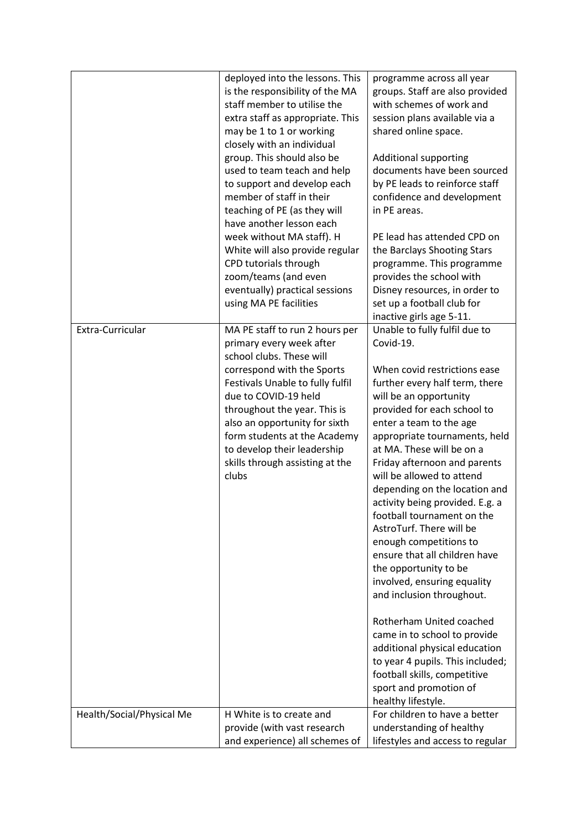|                           | deployed into the lessons. This                                | programme across all year                                     |
|---------------------------|----------------------------------------------------------------|---------------------------------------------------------------|
|                           | is the responsibility of the MA                                | groups. Staff are also provided                               |
|                           | staff member to utilise the                                    | with schemes of work and                                      |
|                           |                                                                |                                                               |
|                           | extra staff as appropriate. This                               | session plans available via a<br>shared online space.         |
|                           | may be 1 to 1 or working<br>closely with an individual         |                                                               |
|                           | group. This should also be                                     |                                                               |
|                           |                                                                | <b>Additional supporting</b><br>documents have been sourced   |
|                           | used to team teach and help                                    |                                                               |
|                           | to support and develop each<br>member of staff in their        | by PE leads to reinforce staff                                |
|                           |                                                                | confidence and development<br>in PE areas.                    |
|                           | teaching of PE (as they will<br>have another lesson each       |                                                               |
|                           |                                                                |                                                               |
|                           | week without MA staff). H                                      | PE lead has attended CPD on                                   |
|                           | White will also provide regular                                | the Barclays Shooting Stars                                   |
|                           | CPD tutorials through                                          | programme. This programme                                     |
|                           | zoom/teams (and even                                           | provides the school with                                      |
|                           | eventually) practical sessions                                 | Disney resources, in order to                                 |
|                           | using MA PE facilities                                         | set up a football club for                                    |
| Extra-Curricular          |                                                                | inactive girls age 5-11.                                      |
|                           | MA PE staff to run 2 hours per                                 | Unable to fully fulfil due to<br>Covid-19.                    |
|                           | primary every week after<br>school clubs. These will           |                                                               |
|                           |                                                                | When covid restrictions ease                                  |
|                           | correspond with the Sports                                     |                                                               |
|                           | Festivals Unable to fully fulfil<br>due to COVID-19 held       | further every half term, there                                |
|                           |                                                                | will be an opportunity                                        |
|                           | throughout the year. This is                                   | provided for each school to                                   |
|                           | also an opportunity for sixth                                  | enter a team to the age                                       |
|                           | form students at the Academy                                   | appropriate tournaments, held<br>at MA. These will be on a    |
|                           | to develop their leadership<br>skills through assisting at the | Friday afternoon and parents                                  |
|                           | clubs                                                          | will be allowed to attend                                     |
|                           |                                                                | depending on the location and                                 |
|                           |                                                                |                                                               |
|                           |                                                                | activity being provided. E.g. a<br>football tournament on the |
|                           |                                                                | AstroTurf. There will be                                      |
|                           |                                                                |                                                               |
|                           |                                                                | enough competitions to                                        |
|                           |                                                                | ensure that all children have                                 |
|                           |                                                                | the opportunity to be                                         |
|                           |                                                                | involved, ensuring equality                                   |
|                           |                                                                | and inclusion throughout.                                     |
|                           |                                                                | Rotherham United coached                                      |
|                           |                                                                |                                                               |
|                           |                                                                | came in to school to provide                                  |
|                           |                                                                | additional physical education                                 |
|                           |                                                                | to year 4 pupils. This included;                              |
|                           |                                                                | football skills, competitive                                  |
|                           |                                                                | sport and promotion of                                        |
|                           |                                                                | healthy lifestyle.                                            |
| Health/Social/Physical Me | H White is to create and                                       | For children to have a better                                 |
|                           | provide (with vast research                                    | understanding of healthy                                      |
|                           | and experience) all schemes of                                 | lifestyles and access to regular                              |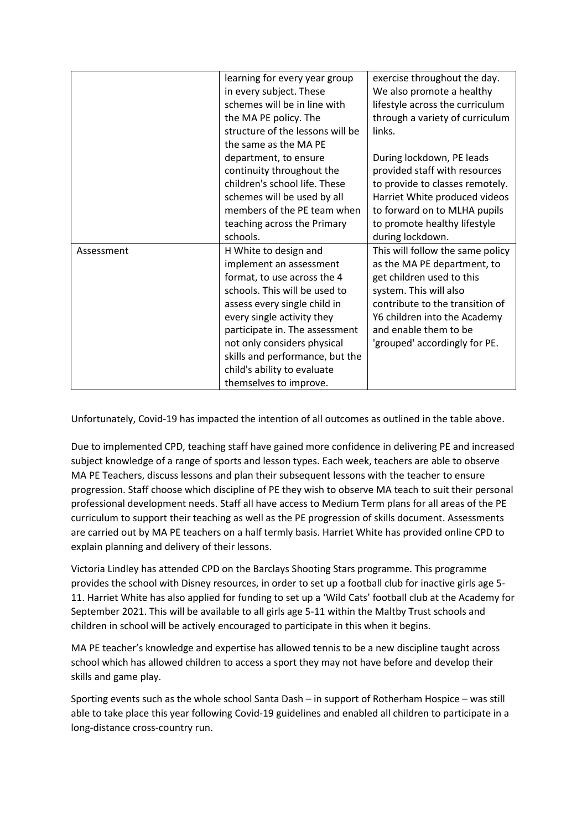|            | learning for every year group    | exercise throughout the day.     |
|------------|----------------------------------|----------------------------------|
|            | in every subject. These          | We also promote a healthy        |
|            | schemes will be in line with     | lifestyle across the curriculum  |
|            | the MA PE policy. The            | through a variety of curriculum  |
|            | structure of the lessons will be | links.                           |
|            | the same as the MA PE            |                                  |
|            | department, to ensure            | During lockdown, PE leads        |
|            | continuity throughout the        | provided staff with resources    |
|            | children's school life. These    | to provide to classes remotely.  |
|            | schemes will be used by all      | Harriet White produced videos    |
|            | members of the PE team when      | to forward on to MLHA pupils     |
|            | teaching across the Primary      | to promote healthy lifestyle     |
|            | schools.                         | during lockdown.                 |
| Assessment | H White to design and            | This will follow the same policy |
|            | implement an assessment          | as the MA PE department, to      |
|            | format, to use across the 4      | get children used to this        |
|            | schools. This will be used to    | system. This will also           |
|            | assess every single child in     | contribute to the transition of  |
|            | every single activity they       | Y6 children into the Academy     |
|            | participate in. The assessment   | and enable them to be            |
|            | not only considers physical      | 'grouped' accordingly for PE.    |
|            | skills and performance, but the  |                                  |
|            | child's ability to evaluate      |                                  |
|            | themselves to improve.           |                                  |

Unfortunately, Covid-19 has impacted the intention of all outcomes as outlined in the table above.

Due to implemented CPD, teaching staff have gained more confidence in delivering PE and increased subject knowledge of a range of sports and lesson types. Each week, teachers are able to observe MA PE Teachers, discuss lessons and plan their subsequent lessons with the teacher to ensure progression. Staff choose which discipline of PE they wish to observe MA teach to suit their personal professional development needs. Staff all have access to Medium Term plans for all areas of the PE curriculum to support their teaching as well as the PE progression of skills document. Assessments are carried out by MA PE teachers on a half termly basis. Harriet White has provided online CPD to explain planning and delivery of their lessons.

Victoria Lindley has attended CPD on the Barclays Shooting Stars programme. This programme provides the school with Disney resources, in order to set up a football club for inactive girls age 5- 11. Harriet White has also applied for funding to set up a 'Wild Cats' football club at the Academy for September 2021. This will be available to all girls age 5-11 within the Maltby Trust schools and children in school will be actively encouraged to participate in this when it begins.

MA PE teacher's knowledge and expertise has allowed tennis to be a new discipline taught across school which has allowed children to access a sport they may not have before and develop their skills and game play.

Sporting events such as the whole school Santa Dash – in support of Rotherham Hospice – was still able to take place this year following Covid-19 guidelines and enabled all children to participate in a long-distance cross-country run.